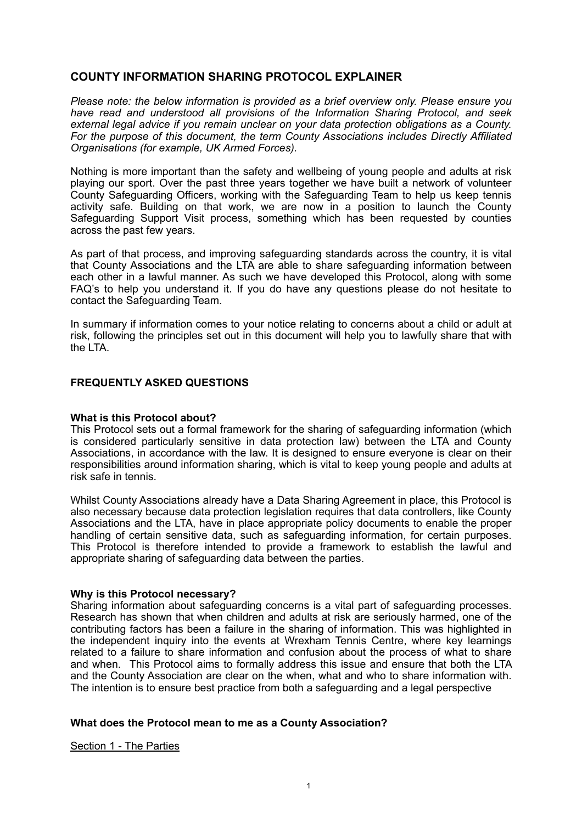# **COUNTY INFORMATION SHARING PROTOCOL EXPLAINER**

*Please note: the below information is provided as a brief overview only. Please ensure you have read and understood all provisions of the Information Sharing Protocol, and seek external legal advice if you remain unclear on your data protection obligations as a County. For the purpose of this document, the term County Associations includes Directly Affiliated Organisations (for example, UK Armed Forces).* 

Nothing is more important than the safety and wellbeing of young people and adults at risk playing our sport. Over the past three years together we have built a network of volunteer County Safeguarding Officers, working with the Safeguarding Team to help us keep tennis activity safe. Building on that work, we are now in a position to launch the County Safeguarding Support Visit process, something which has been requested by counties across the past few years.

As part of that process, and improving safeguarding standards across the country, it is vital that County Associations and the LTA are able to share safeguarding information between each other in a lawful manner. As such we have developed this Protocol, along with some FAQ's to help you understand it. If you do have any questions please do not hesitate to contact the Safeguarding Team.

In summary if information comes to your notice relating to concerns about a child or adult at risk, following the principles set out in this document will help you to lawfully share that with the LTA.

## **FREQUENTLY ASKED QUESTIONS**

#### **What is this Protocol about?**

This Protocol sets out a formal framework for the sharing of safeguarding information (which is considered particularly sensitive in data protection law) between the LTA and County Associations, in accordance with the law. It is designed to ensure everyone is clear on their responsibilities around information sharing, which is vital to keep young people and adults at risk safe in tennis.

Whilst County Associations already have a Data Sharing Agreement in place, this Protocol is also necessary because data protection legislation requires that data controllers, like County Associations and the LTA, have in place appropriate policy documents to enable the proper handling of certain sensitive data, such as safeguarding information, for certain purposes. This Protocol is therefore intended to provide a framework to establish the lawful and appropriate sharing of safeguarding data between the parties.

#### **Why is this Protocol necessary?**

Sharing information about safeguarding concerns is a vital part of safeguarding processes. Research has shown that when children and adults at risk are seriously harmed, one of the contributing factors has been a failure in the sharing of information. This was highlighted in the independent inquiry into the events at Wrexham Tennis Centre, where key learnings related to a failure to share information and confusion about the process of what to share and when. This Protocol aims to formally address this issue and ensure that both the LTA and the County Association are clear on the when, what and who to share information with. The intention is to ensure best practice from both a safeguarding and a legal perspective

#### **What does the Protocol mean to me as a County Association?**

Section 1 - The Parties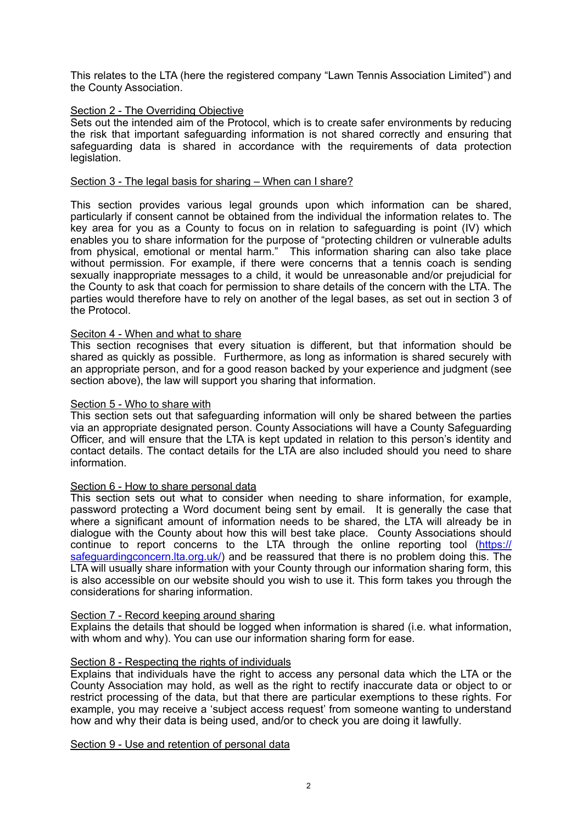This relates to the LTA (here the registered company "Lawn Tennis Association Limited") and the County Association.

### Section 2 - The Overriding Objective

Sets out the intended aim of the Protocol, which is to create safer environments by reducing the risk that important safeguarding information is not shared correctly and ensuring that safeguarding data is shared in accordance with the requirements of data protection legislation.

#### Section 3 - The legal basis for sharing – When can I share?

This section provides various legal grounds upon which information can be shared, particularly if consent cannot be obtained from the individual the information relates to. The key area for you as a County to focus on in relation to safeguarding is point (IV) which enables you to share information for the purpose of "protecting children or vulnerable adults from physical, emotional or mental harm." This information sharing can also take place without permission. For example, if there were concerns that a tennis coach is sending sexually inappropriate messages to a child, it would be unreasonable and/or prejudicial for the County to ask that coach for permission to share details of the concern with the LTA. The parties would therefore have to rely on another of the legal bases, as set out in section 3 of the Protocol.

# Seciton 4 - When and what to share

This section recognises that every situation is different, but that information should be shared as quickly as possible. Furthermore, as long as information is shared securely with an appropriate person, and for a good reason backed by your experience and judgment (see section above), the law will support you sharing that information.

#### Section 5 - Who to share with

This section sets out that safeguarding information will only be shared between the parties via an appropriate designated person. County Associations will have a County Safeguarding Officer, and will ensure that the LTA is kept updated in relation to this person's identity and contact details. The contact details for the LTA are also included should you need to share information.

#### Section 6 - How to share personal data

This section sets out what to consider when needing to share information, for example, password protecting a Word document being sent by email. It is generally the case that where a significant amount of information needs to be shared, the LTA will already be in dialogue with the County about how this will best take place. County Associations should continue to report concerns to the LTA through the online reporting tool ([https://](https://safeguardingconcern.lta.org.uk/) [safeguardingconcern.lta.org.uk/](https://safeguardingconcern.lta.org.uk/)) and be reassured that there is no problem doing this. The LTA will usually share information with your County through our information sharing form, this is also accessible on our website should you wish to use it. This form takes you through the considerations for sharing information.

#### Section 7 - Record keeping around sharing

Explains the details that should be logged when information is shared (i.e. what information, with whom and why). You can use our information sharing form for ease.

#### Section 8 - Respecting the rights of individuals

Explains that individuals have the right to access any personal data which the LTA or the County Association may hold, as well as the right to rectify inaccurate data or object to or restrict processing of the data, but that there are particular exemptions to these rights. For example, you may receive a 'subject access request' from someone wanting to understand how and why their data is being used, and/or to check you are doing it lawfully.

Section 9 - Use and retention of personal data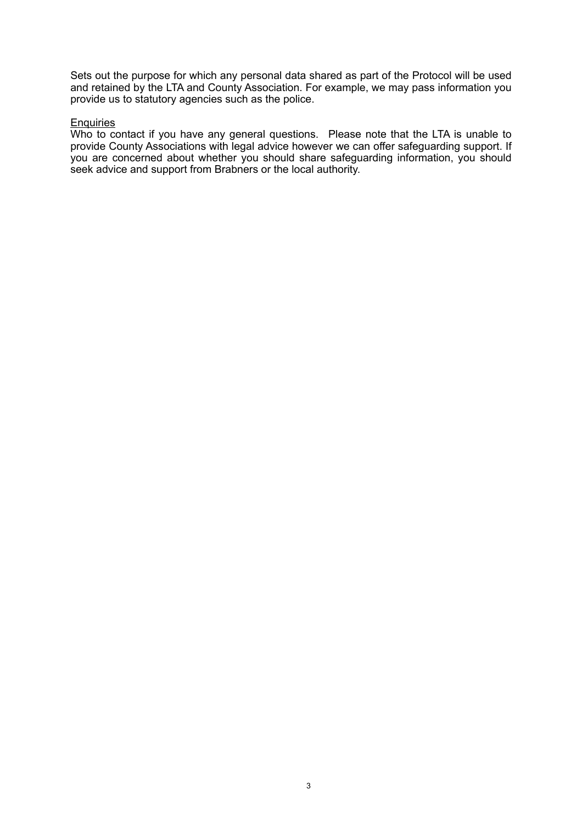Sets out the purpose for which any personal data shared as part of the Protocol will be used and retained by the LTA and County Association. For example, we may pass information you provide us to statutory agencies such as the police.

### **Enquiries**

Who to contact if you have any general questions. Please note that the LTA is unable to provide County Associations with legal advice however we can offer safeguarding support. If you are concerned about whether you should share safeguarding information, you should seek advice and support from Brabners or the local authority.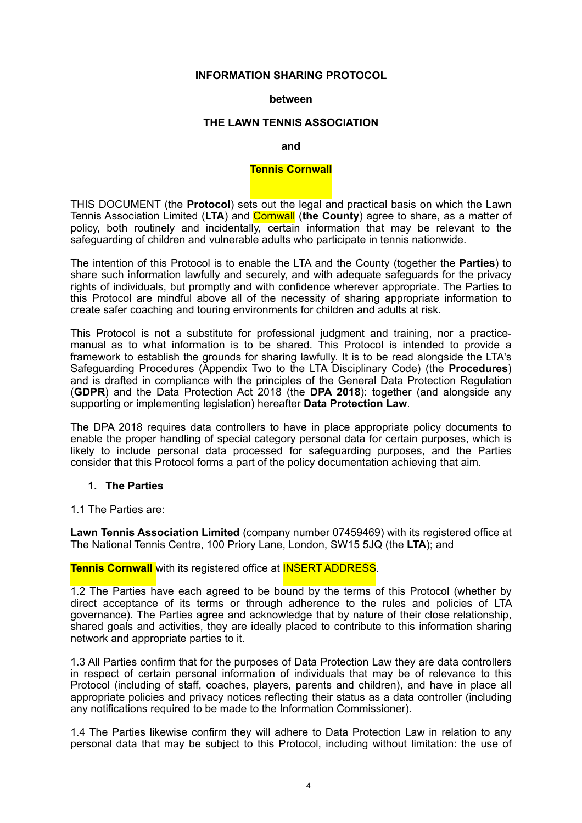### **INFORMATION SHARING PROTOCOL**

### **between**

## **THE LAWN TENNIS ASSOCIATION**

#### **and**

## **Tennis Cornwall**

THIS DOCUMENT (the **Protocol**) sets out the legal and practical basis on which the Lawn Tennis Association Limited (**LTA**) and Cornwall (**the County**) agree to share, as a matter of policy, both routinely and incidentally, certain information that may be relevant to the safeguarding of children and vulnerable adults who participate in tennis nationwide.

The intention of this Protocol is to enable the LTA and the County (together the **Parties**) to share such information lawfully and securely, and with adequate safeguards for the privacy rights of individuals, but promptly and with confidence wherever appropriate. The Parties to this Protocol are mindful above all of the necessity of sharing appropriate information to create safer coaching and touring environments for children and adults at risk.

This Protocol is not a substitute for professional judgment and training, nor a practicemanual as to what information is to be shared. This Protocol is intended to provide a framework to establish the grounds for sharing lawfully. It is to be read alongside the LTA's Safeguarding Procedures (Appendix Two to the LTA Disciplinary Code) (the **Procedures**) and is drafted in compliance with the principles of the General Data Protection Regulation (**GDPR**) and the Data Protection Act 2018 (the **DPA 2018**): together (and alongside any supporting or implementing legislation) hereafter **Data Protection Law**.

The DPA 2018 requires data controllers to have in place appropriate policy documents to enable the proper handling of special category personal data for certain purposes, which is likely to include personal data processed for safeguarding purposes, and the Parties consider that this Protocol forms a part of the policy documentation achieving that aim.

#### **1. The Parties**

1.1 The Parties are:

**Lawn Tennis Association Limited** (company number 07459469) with its registered office at The National Tennis Centre, 100 Priory Lane, London, SW15 5JQ (the **LTA**); and

## **Tennis Cornwall** with its registered office at INSERT ADDRESS.

1.2 The Parties have each agreed to be bound by the terms of this Protocol (whether by direct acceptance of its terms or through adherence to the rules and policies of LTA governance). The Parties agree and acknowledge that by nature of their close relationship, shared goals and activities, they are ideally placed to contribute to this information sharing network and appropriate parties to it.

1.3 All Parties confirm that for the purposes of Data Protection Law they are data controllers in respect of certain personal information of individuals that may be of relevance to this Protocol (including of staff, coaches, players, parents and children), and have in place all appropriate policies and privacy notices reflecting their status as a data controller (including any notifications required to be made to the Information Commissioner).

1.4 The Parties likewise confirm they will adhere to Data Protection Law in relation to any personal data that may be subject to this Protocol, including without limitation: the use of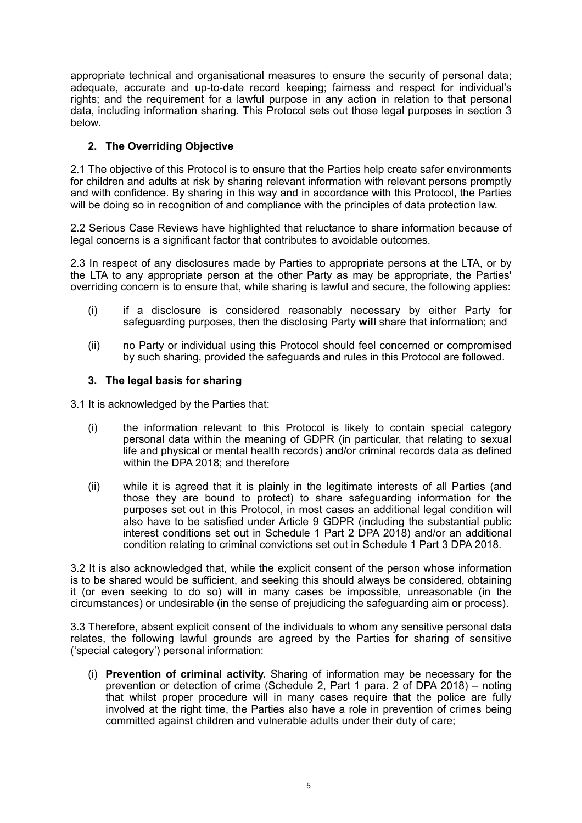appropriate technical and organisational measures to ensure the security of personal data; adequate, accurate and up-to-date record keeping; fairness and respect for individual's rights; and the requirement for a lawful purpose in any action in relation to that personal data, including information sharing. This Protocol sets out those legal purposes in section 3 below.

# **2. The Overriding Objective**

2.1 The objective of this Protocol is to ensure that the Parties help create safer environments for children and adults at risk by sharing relevant information with relevant persons promptly and with confidence. By sharing in this way and in accordance with this Protocol, the Parties will be doing so in recognition of and compliance with the principles of data protection law.

2.2 Serious Case Reviews have highlighted that reluctance to share information because of legal concerns is a significant factor that contributes to avoidable outcomes.

2.3 In respect of any disclosures made by Parties to appropriate persons at the LTA, or by the LTA to any appropriate person at the other Party as may be appropriate, the Parties' overriding concern is to ensure that, while sharing is lawful and secure, the following applies:

- (i) if a disclosure is considered reasonably necessary by either Party for safeguarding purposes, then the disclosing Party **will** share that information; and
- (ii) no Party or individual using this Protocol should feel concerned or compromised by such sharing, provided the safeguards and rules in this Protocol are followed.

## **3. The legal basis for sharing**

3.1 It is acknowledged by the Parties that:

- (i) the information relevant to this Protocol is likely to contain special category personal data within the meaning of GDPR (in particular, that relating to sexual life and physical or mental health records) and/or criminal records data as defined within the DPA 2018; and therefore
- (ii) while it is agreed that it is plainly in the legitimate interests of all Parties (and those they are bound to protect) to share safeguarding information for the purposes set out in this Protocol, in most cases an additional legal condition will also have to be satisfied under Article 9 GDPR (including the substantial public interest conditions set out in Schedule 1 Part 2 DPA 2018) and/or an additional condition relating to criminal convictions set out in Schedule 1 Part 3 DPA 2018.

3.2 It is also acknowledged that, while the explicit consent of the person whose information is to be shared would be sufficient, and seeking this should always be considered, obtaining it (or even seeking to do so) will in many cases be impossible, unreasonable (in the circumstances) or undesirable (in the sense of prejudicing the safeguarding aim or process).

3.3 Therefore, absent explicit consent of the individuals to whom any sensitive personal data relates, the following lawful grounds are agreed by the Parties for sharing of sensitive ('special category') personal information:

(i) **Prevention of criminal activity.** Sharing of information may be necessary for the prevention or detection of crime (Schedule 2, Part 1 para. 2 of DPA 2018) – noting that whilst proper procedure will in many cases require that the police are fully involved at the right time, the Parties also have a role in prevention of crimes being committed against children and vulnerable adults under their duty of care;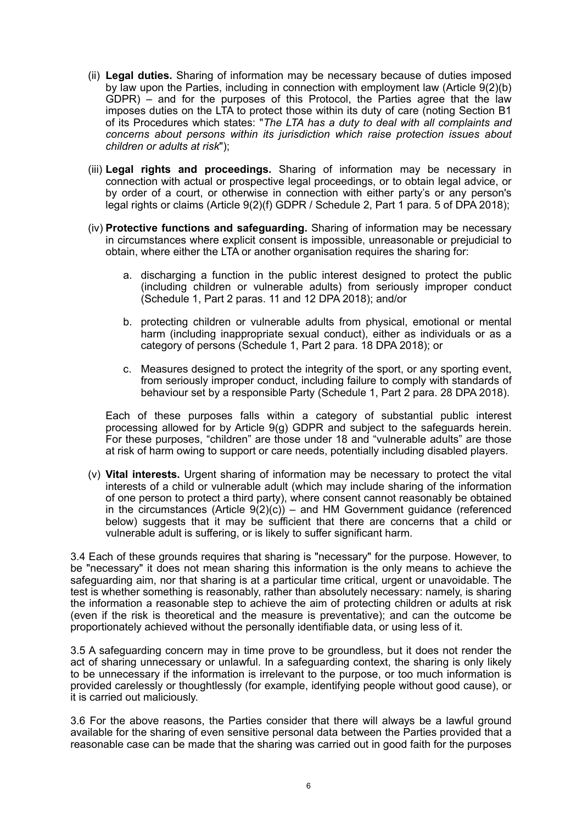- (ii) **Legal duties.** Sharing of information may be necessary because of duties imposed by law upon the Parties, including in connection with employment law (Article 9(2)(b) GDPR) – and for the purposes of this Protocol, the Parties agree that the law imposes duties on the LTA to protect those within its duty of care (noting Section B1 of its Procedures which states: "*The LTA has a duty to deal with all complaints and concerns about persons within its jurisdiction which raise protection issues about children or adults at risk*");
- (iii) **Legal rights and proceedings.** Sharing of information may be necessary in connection with actual or prospective legal proceedings, or to obtain legal advice, or by order of a court, or otherwise in connection with either party's or any person's legal rights or claims (Article 9(2)(f) GDPR / Schedule 2, Part 1 para. 5 of DPA 2018);
- (iv) **Protective functions and safeguarding.** Sharing of information may be necessary in circumstances where explicit consent is impossible, unreasonable or prejudicial to obtain, where either the LTA or another organisation requires the sharing for:
	- a. discharging a function in the public interest designed to protect the public (including children or vulnerable adults) from seriously improper conduct (Schedule 1, Part 2 paras. 11 and 12 DPA 2018); and/or
	- b. protecting children or vulnerable adults from physical, emotional or mental harm (including inappropriate sexual conduct), either as individuals or as a category of persons (Schedule 1, Part 2 para. 18 DPA 2018); or
	- c. Measures designed to protect the integrity of the sport, or any sporting event, from seriously improper conduct, including failure to comply with standards of behaviour set by a responsible Party (Schedule 1, Part 2 para. 28 DPA 2018).

Each of these purposes falls within a category of substantial public interest processing allowed for by Article 9(g) GDPR and subject to the safeguards herein. For these purposes, "children" are those under 18 and "vulnerable adults" are those at risk of harm owing to support or care needs, potentially including disabled players.

(v) **Vital interests.** Urgent sharing of information may be necessary to protect the vital interests of a child or vulnerable adult (which may include sharing of the information of one person to protect a third party), where consent cannot reasonably be obtained in the circumstances (Article  $9(2)(c)$ ) – and HM Government guidance (referenced below) suggests that it may be sufficient that there are concerns that a child or vulnerable adult is suffering, or is likely to suffer significant harm.

3.4 Each of these grounds requires that sharing is "necessary" for the purpose. However, to be "necessary" it does not mean sharing this information is the only means to achieve the safeguarding aim, nor that sharing is at a particular time critical, urgent or unavoidable. The test is whether something is reasonably, rather than absolutely necessary: namely, is sharing the information a reasonable step to achieve the aim of protecting children or adults at risk (even if the risk is theoretical and the measure is preventative); and can the outcome be proportionately achieved without the personally identifiable data, or using less of it.

3.5 A safeguarding concern may in time prove to be groundless, but it does not render the act of sharing unnecessary or unlawful. In a safeguarding context, the sharing is only likely to be unnecessary if the information is irrelevant to the purpose, or too much information is provided carelessly or thoughtlessly (for example, identifying people without good cause), or it is carried out maliciously.

3.6 For the above reasons, the Parties consider that there will always be a lawful ground available for the sharing of even sensitive personal data between the Parties provided that a reasonable case can be made that the sharing was carried out in good faith for the purposes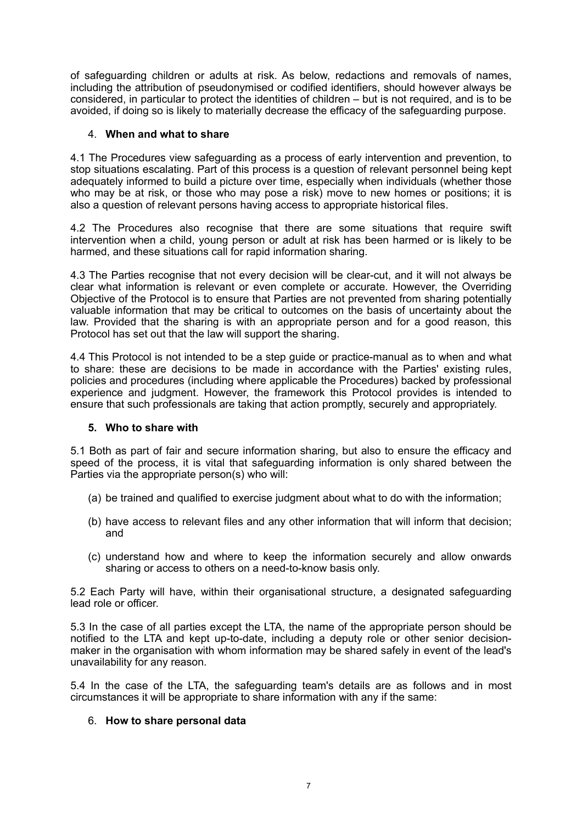of safeguarding children or adults at risk. As below, redactions and removals of names, including the attribution of pseudonymised or codified identifiers, should however always be considered, in particular to protect the identities of children – but is not required, and is to be avoided, if doing so is likely to materially decrease the efficacy of the safeguarding purpose.

### 4. **When and what to share**

4.1 The Procedures view safeguarding as a process of early intervention and prevention, to stop situations escalating. Part of this process is a question of relevant personnel being kept adequately informed to build a picture over time, especially when individuals (whether those who may be at risk, or those who may pose a risk) move to new homes or positions; it is also a question of relevant persons having access to appropriate historical files.

4.2 The Procedures also recognise that there are some situations that require swift intervention when a child, young person or adult at risk has been harmed or is likely to be harmed, and these situations call for rapid information sharing.

4.3 The Parties recognise that not every decision will be clear-cut, and it will not always be clear what information is relevant or even complete or accurate. However, the Overriding Objective of the Protocol is to ensure that Parties are not prevented from sharing potentially valuable information that may be critical to outcomes on the basis of uncertainty about the law. Provided that the sharing is with an appropriate person and for a good reason, this Protocol has set out that the law will support the sharing.

4.4 This Protocol is not intended to be a step guide or practice-manual as to when and what to share: these are decisions to be made in accordance with the Parties' existing rules, policies and procedures (including where applicable the Procedures) backed by professional experience and judgment. However, the framework this Protocol provides is intended to ensure that such professionals are taking that action promptly, securely and appropriately.

## **5. Who to share with**

5.1 Both as part of fair and secure information sharing, but also to ensure the efficacy and speed of the process, it is vital that safeguarding information is only shared between the Parties via the appropriate person(s) who will:

- (a) be trained and qualified to exercise judgment about what to do with the information;
- (b) have access to relevant files and any other information that will inform that decision; and
- (c) understand how and where to keep the information securely and allow onwards sharing or access to others on a need-to-know basis only.

5.2 Each Party will have, within their organisational structure, a designated safeguarding lead role or officer.

5.3 In the case of all parties except the LTA, the name of the appropriate person should be notified to the LTA and kept up-to-date, including a deputy role or other senior decisionmaker in the organisation with whom information may be shared safely in event of the lead's unavailability for any reason.

5.4 In the case of the LTA, the safeguarding team's details are as follows and in most circumstances it will be appropriate to share information with any if the same:

## 6. **How to share personal data**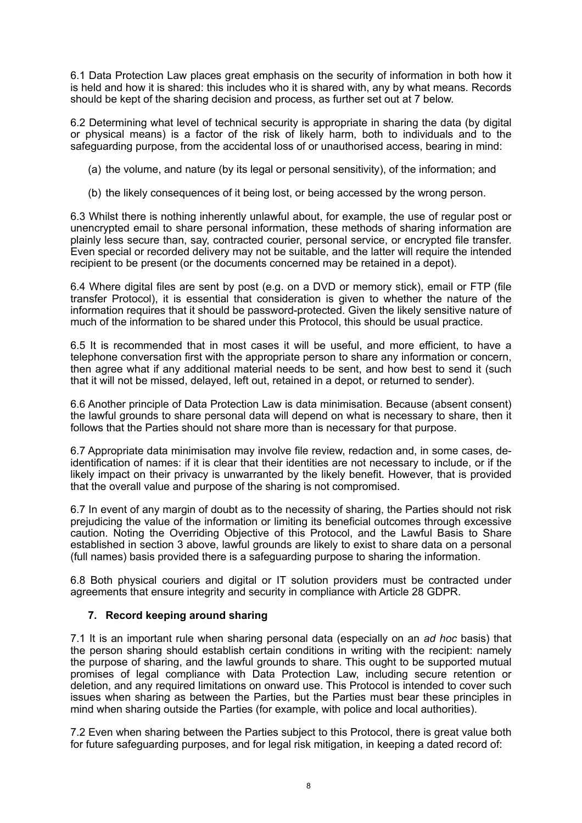6.1 Data Protection Law places great emphasis on the security of information in both how it is held and how it is shared: this includes who it is shared with, any by what means. Records should be kept of the sharing decision and process, as further set out at 7 below.

6.2 Determining what level of technical security is appropriate in sharing the data (by digital or physical means) is a factor of the risk of likely harm, both to individuals and to the safeguarding purpose, from the accidental loss of or unauthorised access, bearing in mind:

(a) the volume, and nature (by its legal or personal sensitivity), of the information; and

(b) the likely consequences of it being lost, or being accessed by the wrong person.

6.3 Whilst there is nothing inherently unlawful about, for example, the use of regular post or unencrypted email to share personal information, these methods of sharing information are plainly less secure than, say, contracted courier, personal service, or encrypted file transfer. Even special or recorded delivery may not be suitable, and the latter will require the intended recipient to be present (or the documents concerned may be retained in a depot).

6.4 Where digital files are sent by post (e.g. on a DVD or memory stick), email or FTP (file transfer Protocol), it is essential that consideration is given to whether the nature of the information requires that it should be password-protected. Given the likely sensitive nature of much of the information to be shared under this Protocol, this should be usual practice.

6.5 It is recommended that in most cases it will be useful, and more efficient, to have a telephone conversation first with the appropriate person to share any information or concern, then agree what if any additional material needs to be sent, and how best to send it (such that it will not be missed, delayed, left out, retained in a depot, or returned to sender).

6.6 Another principle of Data Protection Law is data minimisation. Because (absent consent) the lawful grounds to share personal data will depend on what is necessary to share, then it follows that the Parties should not share more than is necessary for that purpose.

6.7 Appropriate data minimisation may involve file review, redaction and, in some cases, deidentification of names: if it is clear that their identities are not necessary to include, or if the likely impact on their privacy is unwarranted by the likely benefit. However, that is provided that the overall value and purpose of the sharing is not compromised.

6.7 In event of any margin of doubt as to the necessity of sharing, the Parties should not risk prejudicing the value of the information or limiting its beneficial outcomes through excessive caution. Noting the Overriding Objective of this Protocol, and the Lawful Basis to Share established in section 3 above, lawful grounds are likely to exist to share data on a personal (full names) basis provided there is a safeguarding purpose to sharing the information.

6.8 Both physical couriers and digital or IT solution providers must be contracted under agreements that ensure integrity and security in compliance with Article 28 GDPR.

## **7. Record keeping around sharing**

7.1 It is an important rule when sharing personal data (especially on an *ad hoc* basis) that the person sharing should establish certain conditions in writing with the recipient: namely the purpose of sharing, and the lawful grounds to share. This ought to be supported mutual promises of legal compliance with Data Protection Law, including secure retention or deletion, and any required limitations on onward use. This Protocol is intended to cover such issues when sharing as between the Parties, but the Parties must bear these principles in mind when sharing outside the Parties (for example, with police and local authorities).

7.2 Even when sharing between the Parties subject to this Protocol, there is great value both for future safeguarding purposes, and for legal risk mitigation, in keeping a dated record of: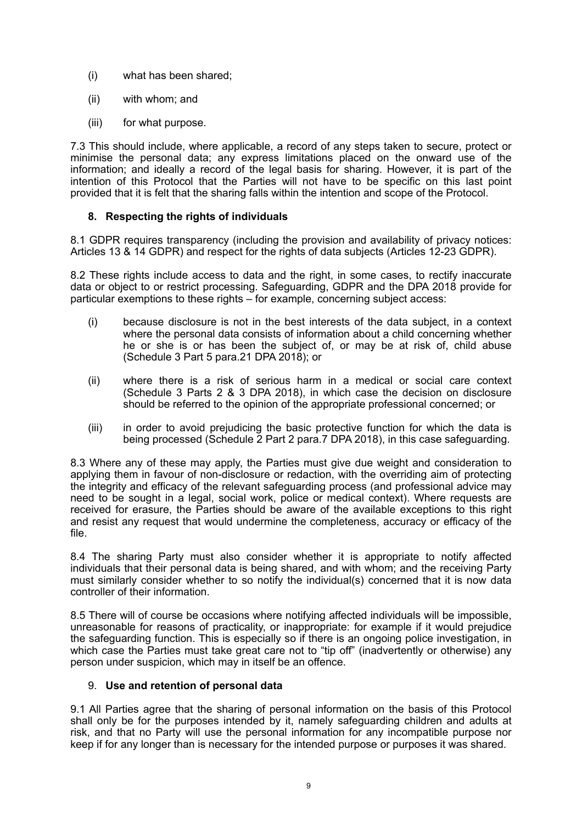- (i) what has been shared;
- (ii) with whom; and
- (iii) for what purpose.

7.3 This should include, where applicable, a record of any steps taken to secure, protect or minimise the personal data; any express limitations placed on the onward use of the information; and ideally a record of the legal basis for sharing. However, it is part of the intention of this Protocol that the Parties will not have to be specific on this last point provided that it is felt that the sharing falls within the intention and scope of the Protocol.

# **8. Respecting the rights of individuals**

8.1 GDPR requires transparency (including the provision and availability of privacy notices: Articles 13 & 14 GDPR) and respect for the rights of data subjects (Articles 12-23 GDPR).

8.2 These rights include access to data and the right, in some cases, to rectify inaccurate data or object to or restrict processing. Safeguarding, GDPR and the DPA 2018 provide for particular exemptions to these rights – for example, concerning subject access:

- (i) because disclosure is not in the best interests of the data subject, in a context where the personal data consists of information about a child concerning whether he or she is or has been the subject of, or may be at risk of, child abuse (Schedule 3 Part 5 para.21 DPA 2018); or
- (ii) where there is a risk of serious harm in a medical or social care context (Schedule 3 Parts 2 & 3 DPA 2018), in which case the decision on disclosure should be referred to the opinion of the appropriate professional concerned; or
- (iii) in order to avoid prejudicing the basic protective function for which the data is being processed (Schedule 2 Part 2 para.7 DPA 2018), in this case safeguarding.

8.3 Where any of these may apply, the Parties must give due weight and consideration to applying them in favour of non-disclosure or redaction, with the overriding aim of protecting the integrity and efficacy of the relevant safeguarding process (and professional advice may need to be sought in a legal, social work, police or medical context). Where requests are received for erasure, the Parties should be aware of the available exceptions to this right and resist any request that would undermine the completeness, accuracy or efficacy of the file.

8.4 The sharing Party must also consider whether it is appropriate to notify affected individuals that their personal data is being shared, and with whom; and the receiving Party must similarly consider whether to so notify the individual(s) concerned that it is now data controller of their information.

8.5 There will of course be occasions where notifying affected individuals will be impossible, unreasonable for reasons of practicality, or inappropriate: for example if it would prejudice the safeguarding function. This is especially so if there is an ongoing police investigation, in which case the Parties must take great care not to "tip off" (inadvertently or otherwise) any person under suspicion, which may in itself be an offence.

## 9. **Use and retention of personal data**

9.1 All Parties agree that the sharing of personal information on the basis of this Protocol shall only be for the purposes intended by it, namely safeguarding children and adults at risk, and that no Party will use the personal information for any incompatible purpose nor keep if for any longer than is necessary for the intended purpose or purposes it was shared.